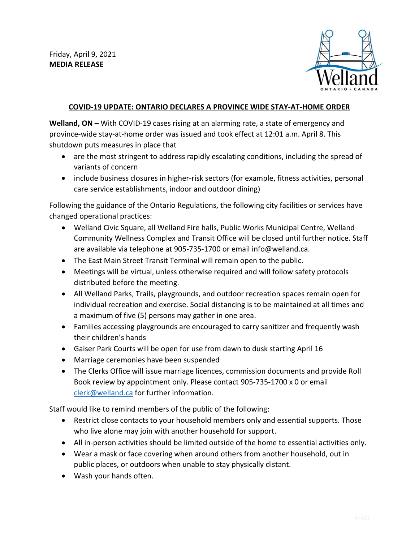

## **COVID-19 UPDATE: ONTARIO DECLARES A PROVINCE WIDE STAY-AT-HOME ORDER**

**Welland, ON –** With COVID-19 cases rising at an alarming rate, a state of emergency and province-wide stay-at-home order was issued and took effect at 12:01 a.m. April 8. This shutdown puts measures in place that

- are the most stringent to address rapidly escalating conditions, including the spread of variants of concern
- include business closures in higher-risk sectors (for example, fitness activities, personal care service establishments, indoor and outdoor dining)

Following the guidance of the Ontario Regulations, the following city facilities or services have changed operational practices:

- Welland Civic Square, all Welland Fire halls, Public Works Municipal Centre, Welland Community Wellness Complex and Transit Office will be closed until further notice. Staff are available via telephone at 905-735-1700 or email info@welland.ca.
- The East Main Street Transit Terminal will remain open to the public.
- Meetings will be virtual, unless otherwise required and will follow safety protocols distributed before the meeting.
- All Welland Parks, Trails, playgrounds, and outdoor recreation spaces remain open for individual recreation and exercise. Social distancing is to be maintained at all times and a maximum of five (5) persons may gather in one area.
- Families accessing playgrounds are encouraged to carry sanitizer and frequently wash their children's hands
- Gaiser Park Courts will be open for use from dawn to dusk starting April 16
- Marriage ceremonies have been suspended
- The Clerks Office will issue marriage licences, commission documents and provide Roll Book review by appointment only. Please contact 905-735-1700 x 0 or email [clerk@welland.ca](mailto:clerk@welland.ca) for further information.

Staff would like to remind members of the public of the following:

- Restrict close contacts to your household members only and essential supports. Those who live alone may join with another household for support.
- All in-person activities should be limited outside of the home to essential activities only.
- Wear a mask or face covering when around others from another household, out in public places, or outdoors when unable to stay physically distant.
- Wash your hands often.